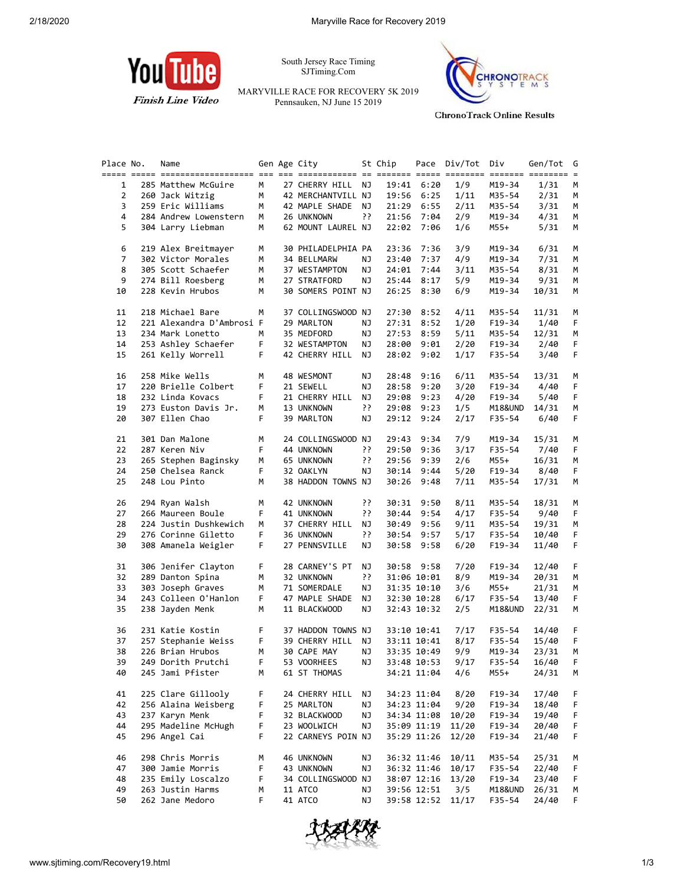

South Jersey Race Timing SJTiming.Com

MARYVILLE RACE FOR RECOVERY 5K 2019 Pennsauken, NJ June 15 2019



**ChronoTrack Online Results** 

| Place No.      | Name                      |    | Gen Age City       |     | St Chip |             | Pace Div/Tot | Div      | Gen/Tot | G  |
|----------------|---------------------------|----|--------------------|-----|---------|-------------|--------------|----------|---------|----|
|                |                           |    |                    |     |         |             |              |          |         |    |
| 1              | 285 Matthew McGuire       | М  | 27 CHERRY HILL NJ  |     |         | 19:41 6:20  | 1/9          | M19-34   | 1/31    | М  |
| $\overline{2}$ | 260 Jack Witzig           | М  | 42 MERCHANTVILL NJ |     |         | 19:56 6:25  | 1/11         | M35-54   | 2/31    | м  |
| 3              | 259 Eric Williams         | М  | 42 MAPLE SHADE NJ  |     | 21:29   | 6:55        | 2/11         | M35-54   | 3/31    | М  |
| 4              | 284 Andrew Lowenstern     | М  | 26 UNKNOWN         | יִ? |         | 21:56 7:04  | 2/9          | M19-34   | 4/31    | М  |
|                |                           |    |                    |     |         |             |              |          |         |    |
| 5              | 304 Larry Liebman         | м  | 62 MOUNT LAUREL NJ |     |         | 22:02 7:06  | 1/6          | M55+     | 5/31    | М  |
|                |                           |    |                    |     |         |             |              |          |         |    |
| 6              | 219 Alex Breitmayer       | м  | 30 PHILADELPHIA PA |     | 23:36   | 7:36        | 3/9          | M19-34   | 6/31    | м  |
| 7              | 302 Victor Morales        | М  | 34 BELLMARW        | ΝJ  | 23:40   | 7:37        | 4/9          | M19-34   | 7/31    | м  |
| 8              | 305 Scott Schaefer        | М  | 37 WESTAMPTON      | ΝJ  | 24:01   | 7:44        | 3/11         | M35-54   | 8/31    | М  |
| 9              | 274 Bill Roesberg         | М  | 27 STRATFORD       | ΝJ  |         | 25:44 8:17  | 5/9          | M19-34   | 9/31    | М  |
| 10             | 228 Kevin Hrubos          | М  | 30 SOMERS POINT NJ |     |         | 26:25 8:30  | 6/9          | M19-34   | 10/31   | М  |
|                |                           |    |                    |     |         |             |              |          |         |    |
| 11             | 218 Michael Bare          | М  | 37 COLLINGSWOOD NJ |     | 27:30   | 8:52        | 4/11         | M35-54   | 11/31   | М  |
|                |                           |    |                    |     |         |             |              |          |         |    |
| 12             | 221 Alexandra D'Ambrosi F |    | 29 MARLTON         | ΝJ  | 27:31   | 8:52        | 1/20         | F19-34   | 1/40    | F  |
| 13             | 234 Mark Lonetto          | М  | 35 MEDFORD         | ΝJ  | 27:53   | 8:59        | 5/11         | M35-54   | 12/31   | М  |
| 14             | 253 Ashley Schaefer       | F  | 32 WESTAMPTON      | ΝJ  |         | 28:00 9:01  | 2/20         | F19-34   | 2/40    | F  |
| 15             | 261 Kelly Worrell         | F. | 42 CHERRY HILL NJ  |     |         | 28:02 9:02  | 1/17         | F35-54   | 3/40    | F. |
|                |                           |    |                    |     |         |             |              |          |         |    |
| 16             | 258 Mike Wells            | м  | 48 WESMONT         | ΝJ  | 28:48   | 9:16        | 6/11         | M35-54   | 13/31   | М  |
| 17             | 220 Brielle Colbert       | F  | 21 SEWELL          | ΝJ  | 28:58   | 9:20        | 3/20         | F19-34   | 4/40    | F  |
| 18             | 232 Linda Kovacs          | F. | 21 CHERRY HILL     | ΝJ  | 29:08   | 9:23        | 4/20         | F19-34   | 5/40    | F. |
| 19             | 273 Euston Davis Jr.      |    |                    | יִ  |         | 29:08 9:23  |              |          |         |    |
|                |                           | М  | 13 UNKNOWN         |     |         |             | 1/5          | M18&UND  | 14/31   | М  |
| 20             | 307 Ellen Chao            | F. | 39 MARLTON         | ΝJ  |         | 29:12 9:24  | 2/17         | F35-54   | 6/40    | F. |
|                |                           |    |                    |     |         |             |              |          |         |    |
| 21             | 301 Dan Malone            | М  | 24 COLLINGSWOOD NJ |     | 29:43   | 9:34        | 7/9          | M19-34   | 15/31   | M  |
| 22             | 287 Keren Niv             | F. | 44 UNKNOWN         | יִי | 29:50   | 9:36        | 3/17         | F35-54   | 7/40    | F  |
| 23             | 265 Stephen Baginsky      | М  | 65 UNKNOWN         | יִ  | 29:56   | 9:39        | 2/6          | M55+     | 16/31   | М  |
| 24             | 250 Chelsea Ranck         | F  | 32 OAKLYN          | ΝJ  |         | 30:14 9:44  | 5/20         | F19-34   | 8/40    | F. |
| 25             | 248 Lou Pinto             | М  | 38 HADDON TOWNS NJ |     |         | 30:26 9:48  | 7/11         | M35-54   | 17/31   | М  |
|                |                           |    |                    |     |         |             |              |          |         |    |
| 26             | 294 Ryan Walsh            | М  | 42 UNKNOWN         | יִי | 30:31   | 9:50        | 8/11         | M35-54   | 18/31   | м  |
|                |                           |    |                    |     |         |             |              |          |         |    |
| 27             | 266 Maureen Boule         | F  | 41 UNKNOWN         | יִי | 30:44   | 9:54        | 4/17         | F35-54   | 9/40    | F. |
| 28             | 224 Justin Dushkewich     | М  | 37 CHERRY HILL     | ΝJ  | 30:49   | 9:56        | 9/11         | M35-54   | 19/31   | М  |
| 29             | 276 Corinne Giletto       | F  | 36 UNKNOWN         | יִ  |         | 30:54 9:57  | 5/17         | F35-54   | 10/40   | F. |
| 30             | 308 Amanela Weigler       | F. | 27 PENNSVILLE      | ΝJ  |         | 30:58 9:58  | 6/20         | F19-34   | 11/40   | F. |
|                |                           |    |                    |     |         |             |              |          |         |    |
| 31             | 306 Jenifer Clayton       | F  | 28 CARNEY'S PT     | ΝJ  |         | 30:58 9:58  | 7/20         | F19-34   | 12/40   | F. |
| 32             | 289 Danton Spina          | М  | 32 UNKNOWN         | ??  |         | 31:06 10:01 | 8/9          | M19-34   | 20/31   | м  |
| 33             | 303 Joseph Graves         | М  | 71 SOMERDALE       | ΝJ  |         | 31:35 10:10 | 3/6          | M55+     | 21/31   | М  |
| 34             | 243 Colleen O'Hanlon      | F  | 47 MAPLE SHADE     | ΝJ  |         |             |              |          |         | F. |
|                |                           |    |                    |     |         | 32:30 10:28 | 6/17         | F35-54   | 13/40   |    |
| 35             | 238 Jayden Menk           | М  | 11 BLACKWOOD       | ΝJ  |         | 32:43 10:32 | 2/5          | M18&UND  | 22/31   | М  |
|                |                           |    |                    |     |         |             |              |          |         |    |
| 36             | 231 Katie Kostin          | F. | 37 HADDON TOWNS NJ |     |         | 33:10 10:41 | 7/17         | F35-54   | 14/40   | F. |
| 37             | 257 Stephanie Weiss       | F. | 39 CHERRY HILL     | NJ  |         | 33:11 10:41 | 8/17         | F35-54   | 15/40   | F. |
| 38             | 226 Brian Hrubos          | M  | 30 CAPE MAY        | ΝJ  |         | 33:35 10:49 | 9/9          | M19-34   | 23/31   | м  |
| 39             | 249 Dorith Prutchi        | F  | 53 VOORHEES        | NJ  |         | 33:48 10:53 | 9/17         | F35-54   | 16/40   | F. |
| 40             | 245 Jami Pfister          | М  | 61 ST THOMAS       |     |         | 34:21 11:04 | 4/6          | $M55+$   | 24/31   | M  |
|                |                           |    |                    |     |         |             |              |          |         |    |
| 41             | 225 Clare Gillooly        | F  | 24 CHERRY HILL     | ΝJ  |         | 34:23 11:04 | 8/20         | $F19-34$ | 17/40   | F. |
| 42             | 256 Alaina Weisberg       | F  | 25 MARLTON         | ΝJ  |         | 34:23 11:04 | 9/20         | F19-34   | 18/40   | F  |
|                |                           |    |                    |     |         |             |              |          |         |    |
| 43             | 237 Karyn Menk            | F  | 32 BLACKWOOD       | ΝJ  |         | 34:34 11:08 | 10/20        | F19-34   | 19/40   | F  |
| 44             | 295 Madeline McHugh       | F  | 23 WOOLWICH        | ΝJ  |         | 35:09 11:19 | 11/20        | F19-34   | 20/40   | F  |
| 45             | 296 Angel Cai             | F  | 22 CARNEYS POIN NJ |     |         | 35:29 11:26 | 12/20        | $F19-34$ | 21/40   | F. |
|                |                           |    |                    |     |         |             |              |          |         |    |
| 46             | 298 Chris Morris          | М  | 46 UNKNOWN         | ΝJ  |         | 36:32 11:46 | 10/11        | M35-54   | 25/31   | М  |
| 47             | 300 Jamie Morris          | F  | 43 UNKNOWN         | ΝJ  |         | 36:32 11:46 | 10/17        | F35-54   | 22/40   | F  |
| 48             | 235 Emily Loscalzo        | F  | 34 COLLINGSWOOD NJ |     |         | 38:07 12:16 | 13/20        | F19-34   | 23/40   | F  |
| 49             | 263 Justin Harms          | м  | 11 ATCO            | ΝJ  |         | 39:56 12:51 | 3/5          | M18&UND  | 26/31   | M  |
| 50             | 262 Jane Medoro           | F  | 41 ATCO            | ΝJ  |         | 39:58 12:52 | 11/17        | F35-54   | 24/40   | F. |
|                |                           |    |                    |     |         |             |              |          |         |    |

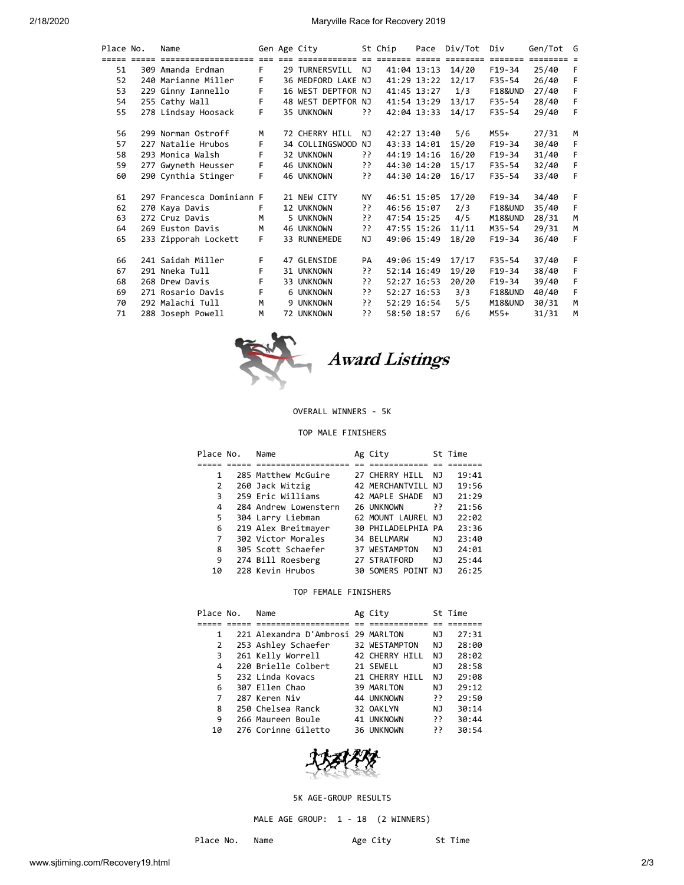| Place No. | Name                      |    | Gen Age City       |           | St Chip |             | Pace Div/Tot | Div        | Gen/Tot G         |    |
|-----------|---------------------------|----|--------------------|-----------|---------|-------------|--------------|------------|-------------------|----|
|           | =================         |    |                    |           |         |             |              |            | escesse escesse e |    |
| 51        | 309 Amanda Erdman         | F. | 29 TURNERSVILL     | NJ        |         | 41:04 13:13 | 14/20        | $F19 - 34$ | 25/40             | F  |
| 52        | 240 Marianne Miller       | F  | 36 MEDFORD LAKE NJ |           |         | 41:29 13:22 | 12/17        | $F35 - 54$ | 26/40             | F  |
| 53        | 229 Ginny Iannello        | F. | 16 WEST DEPTFOR NJ |           |         | 41:45 13:27 | 1/3          | F18&UND    | 27/40             | F  |
| 54        | 255 Cathy Wall            | F. | 48 WEST DEPTFOR NJ |           |         | 41:54 13:29 | 13/17        | F35-54     | 28/40             | F  |
| 55        | 278 Lindsay Hoosack       | F  | 35 UNKNOWN         | יִ        |         | 42:04 13:33 | 14/17        | F35-54     | 29/40             | F  |
| 56        | 299 Norman Ostroff        | М  | 72 CHERRY HILL     | NJ        |         | 42:27 13:40 | 5/6          | M55+       | 27/31             | M  |
| 57        | 227 Natalie Hrubos        | F  | 34 COLLINGSWOOD NJ |           |         | 43:33 14:01 | 15/20        | $F19 - 34$ | 30/40             | F. |
| 58        | 293 Monica Walsh          | F  | 32 UNKNOWN         | יִ        |         | 44:19 14:16 | 16/20        | $F19-34$   | 31/40             | F  |
| 59        | 277 Gwyneth Heusser       | F. | 46 UNKNOWN         | יִ        |         | 44:30 14:20 | 15/17        | F35-54     | 32/40             | F  |
| 60        | 290 Cynthia Stinger       | F  | 46 UNKNOWN         | יִ        |         | 44:30 14:20 | 16/17        | $F35 - 54$ | 33/40             | F  |
| 61        | 297 Francesca Dominiann F |    | 21 NEW CITY        | <b>NY</b> |         | 46:51 15:05 | 17/20        | F19-34     | 34/40             | F. |
| 62        | 270 Kaya Davis            | F. | 12 UNKNOWN         | יִ        |         | 46:56 15:07 | 2/3          | F18&UND    | 35/40             | F  |
| 63        | 272 Cruz Davis            | M  | 5 UNKNOWN          | יִ        |         | 47:54 15:25 | 4/5          | M18&UND    | 28/31             | M  |
| 64        | 269 Euston Davis          | M  | 46 UNKNOWN         | יִ        |         | 47:55 15:26 | 11/11        | M35-54     | 29/31             | M  |
| 65        | 233 Zipporah Lockett      | F. | 33 RUNNEMEDE       | ΝJ        |         | 49:06 15:49 | 18/20        | $F19-34$   | 36/40             | F  |
| 66        | 241 Saidah Miller         | F. | 47 GLENSIDE        | PA        |         | 49:06 15:49 | 17/17        | F35-54     | 37/40             | F  |
| 67        | 291 Nneka Tull            | F  | 31 UNKNOWN         | יִ        |         | 52:14 16:49 | 19/20        | $F19 - 34$ | 38/40             | F  |
| 68        | 268 Drew Davis            | F  | 33 UNKNOWN         | יִ        |         | 52:27 16:53 | 20/20        | $F19-34$   | 39/40             | F  |
| 69        | 271 Rosario Davis         | F. | 6 UNKNOWN          | יִ        |         | 52:27 16:53 | 3/3          | F18&UND    | 40/40             | F  |
| 70        | 292 Malachi Tull          | M  | 9 UNKNOWN          | יִ        |         | 52:29 16:54 | 5/5          | M18&UND    | 30/31             | M  |
| 71        | 288 Joseph Powell         | M  | 72 UNKNOWN         | יי        |         | 58:50 18:57 | 6/6          | $M55+$     | 31/31             | M  |
|           |                           |    |                    |           |         |             |              |            |                   |    |



## OVERALL WINNERS - 5K

TOP MALE FINISHERS

| Place No. | Name                  | Ag City            |     | St Time |
|-----------|-----------------------|--------------------|-----|---------|
|           |                       |                    |     |         |
| 1         | 285 Matthew McGuire   | 27 CHERRY HILL     | NJ  | 19:41   |
| 2         | 260 Jack Witzig       | 42 MERCHANTVILL    | NJ  | 19:56   |
| 3         | 259 Eric Williams     | 42 MAPLE SHADE     | NJ  | 21:29   |
| 4         | 284 Andrew Lowenstern | 26 UNKNOWN         | ??  | 21:56   |
| 5         | 304 Larry Liebman     | 62 MOUNT LAUREL NJ |     | 22:02   |
| 6         | 219 Alex Breitmayer   | 30 PHILADELPHIA PA |     | 23:36   |
| 7         | 302 Victor Morales    | 34 BELLMARW        | NJ  | 23:40   |
| 8         | 305 Scott Schaefer    | 37 WESTAMPTON      | NJ  | 24:01   |
| 9         | 274 Bill Roesberg     | 27 STRATFORD       | NJ  | 25:44   |
| 10        | 228 Kevin Hrubos      | 30 SOMERS POINT    | N J | 26:25   |

## TOP FEMALE FINISHERS

| Place No. | Name                               | Ag City        |     | St Time |
|-----------|------------------------------------|----------------|-----|---------|
|           |                                    |                |     |         |
| 1         | 221 Alexandra D'Ambrosi 29 MARLTON |                | NJ  | 27:31   |
| 2         | 253 Ashley Schaefer                | 32 WESTAMPTON  | NJ. | 28:00   |
| 3         | 261 Kelly Worrell                  | 42 CHERRY HILL | NJ. | 28:02   |
| 4         | 220 Brielle Colbert                | 21 SEWELL      | NJ. | 28:58   |
| 5         | 232 Linda Kovacs                   | 21 CHERRY HILL | NJ. | 29:08   |
| 6         | 307 Ellen Chao                     | 39 MARLTON     | NJ  | 29:12   |
| 7         | 287 Keren Niv                      | 44 UNKNOWN     | د د | 29:50   |
| 8         | 250 Chelsea Ranck                  | 32 OAKLYN      | NJ  | 30:14   |
| 9         | 266 Maureen Boule                  | 41 UNKNOWN     | د د | 30:44   |
| 10        | 276 Corinne Giletto                | 36 UNKNOWN     | د د | 30:54   |



## 5K AGE-GROUP RESULTS

MALE AGE GROUP: 1 - 18 (2 WINNERS)

Place No. Name Manuel Age City St Time